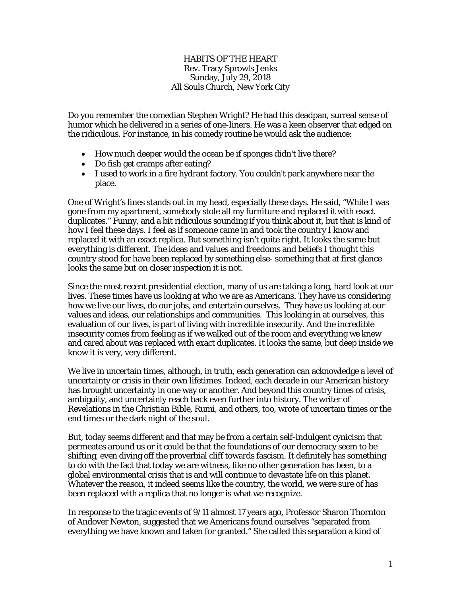## HABITS OF THE HEART Rev. Tracy Sprowls Jenks Sunday, July 29, 2018 All Souls Church, New York City

Do you remember the comedian Stephen Wright? He had this deadpan, surreal sense of humor which he delivered in a series of one-liners. He was a keen observer that edged on the ridiculous. For instance, in his comedy routine he would ask the audience:

- How much deeper would the ocean be if sponges didn't live there?
- Do fish get cramps after eating?
- I used to work in a fire hydrant factory. You couldn't park anywhere near the place.

One of Wright's lines stands out in my head, especially these days. He said, "While I was gone from my apartment, somebody stole all my furniture and replaced it with exact duplicates." Funny, and a bit ridiculous sounding if you think about it, but that is kind of how I feel these days. I feel as if someone came in and took the country I know and replaced it with an exact replica. But something isn't quite right. It looks the same but everything is different. The ideas and values and freedoms and beliefs I thought this country stood for have been replaced by something else- something that at first glance looks the same but on closer inspection it is not.

Since the most recent presidential election, many of us are taking a long, hard look at our lives. These times have us looking at who we are as Americans. They have us considering how we live our lives, do our jobs, and entertain ourselves. They have us looking at our values and ideas, our relationships and communities. This looking in at ourselves, this evaluation of our lives, is part of living with incredible insecurity. And the incredible insecurity comes from feeling as if we walked out of the room and everything we knew and cared about was replaced with exact duplicates. It looks the same, but deep inside we know it is very, very different.

We live in uncertain times, although, in truth, each generation can acknowledge a level of uncertainty or crisis in their own lifetimes. Indeed, each decade in our American history has brought uncertainty in one way or another. And beyond this country times of crisis, ambiguity, and uncertainly reach back even further into history. The writer of Revelations in the Christian Bible, Rumi, and others, too, wrote of uncertain times or the end times or the dark night of the soul.

But, today seems different and that may be from a certain self-indulgent cynicism that permeates around us or it could be that the foundations of our democracy seem to be shifting, even diving off the proverbial cliff towards fascism. It definitely has something to do with the fact that today we are witness, like no other generation has been, to a global environmental crisis that is and will continue to devastate life on this planet. Whatever the reason, it indeed seems like the country, the world, we were sure of has been replaced with a replica that no longer is what we recognize.

In response to the tragic events of 9/11 almost 17 years ago, Professor Sharon Thornton of Andover Newton, suggested that we Americans found ourselves "separated from everything we have known and taken for granted." She called this separation a kind of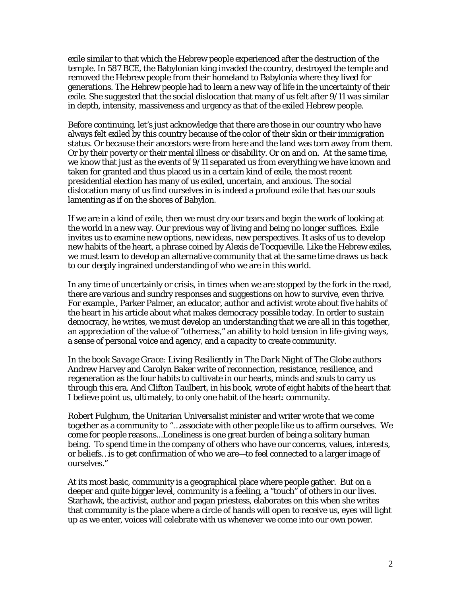exile similar to that which the Hebrew people experienced after the destruction of the temple. In 587 BCE, the Babylonian king invaded the country, destroyed the temple and removed the Hebrew people from their homeland to Babylonia where they lived for generations. The Hebrew people had to learn a new way of life in the uncertainty of their exile. She suggested that the social dislocation that many of us felt after 9/11 was similar in depth, intensity, massiveness and urgency as that of the exiled Hebrew people.

Before continuing, let's just acknowledge that there are those in our country who have always felt exiled by this country because of the color of their skin or their immigration status. Or because their ancestors were from here and the land was torn away from them. Or by their poverty or their mental illness or disability. Or on and on. At the same time, we know that just as the events of 9/11 separated us from everything we have known and taken for granted and thus placed us in a certain kind of exile, the most recent presidential election has many of us exiled, uncertain, and anxious. The social dislocation many of us find ourselves in is indeed a profound exile that has our souls lamenting as if on the shores of Babylon.

If we are in a kind of exile, then we must dry our tears and begin the work of looking at the world in a new way. Our previous way of living and being no longer suffices. Exile invites us to examine new options, new ideas, new perspectives. It asks of us to develop new habits of the heart, a phrase coined by Alexis de Tocqueville. Like the Hebrew exiles, we must learn to develop an alternative community that at the same time draws us back to our deeply ingrained understanding of who we are in this world.

In any time of uncertainly or crisis, in times when we are stopped by the fork in the road, there are various and sundry responses and suggestions on how to survive, even thrive. For example., Parker Palmer, an educator, author and activist wrote about five habits of the heart in his article about what makes democracy possible today. In order to sustain democracy, he writes, we must develop an understanding that we are all in this together, an appreciation of the value of "otherness," an ability to hold tension in life-giving ways, a sense of personal voice and agency, and a capacity to create community.

In the book *Savage Grace: Living Resiliently in The Dark Night of The Globe* authors Andrew Harvey and Carolyn Baker write of reconnection, resistance, resilience, and regeneration as the four habits to cultivate in our hearts, minds and souls to carry us through this era. And Clifton Taulbert, in his book, wrote of eight habits of the heart that I believe point us, ultimately, to only one habit of the heart: community.

Robert Fulghum, the Unitarian Universalist minister and writer wrote that we come together as a community to "…associate with other people like us to affirm ourselves. We come for people reasons...Loneliness is one great burden of being a solitary human being. To spend time in the company of others who have our concerns, values, interests, or beliefs…is to get confirmation of who we are—to feel connected to a larger image of ourselves."

At its most basic, community is a geographical place where people gather. But on a deeper and quite bigger level, community is a feeling, a "touch" of others in our lives. Starhawk, the activist, author and pagan priestess, elaborates on this when she writes that community is the place where a circle of hands will open to receive us, eyes will light up as we enter, voices will celebrate with us whenever we come into our own power.